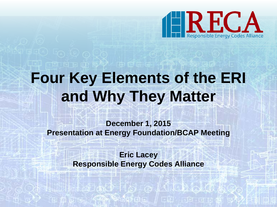

# **Four Key Elements of the ERI and Why They Matter**

**December 1, 2015 Presentation at Energy Foundation/BCAP Meeting**

> **Eric Lacey Responsible Energy Codes Alliance**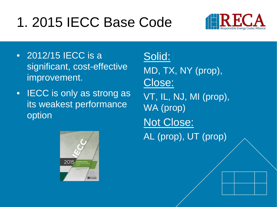## 1. 2015 IECC Base Code



- 2012/15 IECC is a significant, cost-effective improvement.
- **IECC** is only as strong as its weakest performance option



Solid: MD, TX, NY (prop), Close: VT, IL, NJ, MI (prop), WA (prop) Not Close: AL (prop), UT (prop)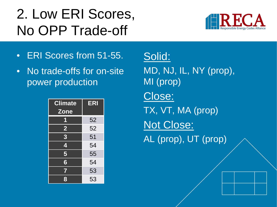## 2. Low ERI Scores, No OPP Trade-off



- ERI Scores from 51-55.
- No trade-offs for on-site power production

| <b>Climate</b><br><b>Zone</b>        | <b>ERI</b> |
|--------------------------------------|------------|
| 1                                    | 52         |
| $\overline{\mathbf{2}}$              | 52         |
| $\overline{3}$                       | 51         |
| 4                                    | 54         |
| $\overline{\overline{\overline{5}}}$ | 55         |
| $\overline{6}$                       | 54         |
| $\overline{\mathbf{7}}$              | 53         |
| 8                                    | 53         |

Solid: MD, NJ, IL, NY (prop), MI (prop) Close: TX, VT, MA (prop) Not Close: AL (prop), UT (prop)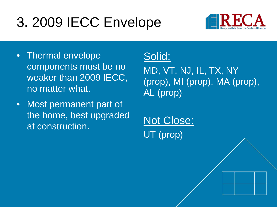## 3. 2009 IECC Envelope



- Thermal envelope components must be no weaker than 2009 IECC, no matter what.
- Most permanent part of the home, best upgraded at construction.

#### Solid:

MD, VT, NJ, IL, TX, NY (prop), MI (prop), MA (prop), AL (prop)

Not Close: UT (prop)

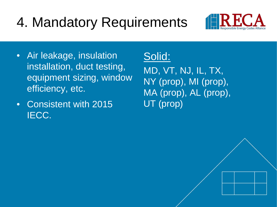## 4. Mandatory Requirements



- Air leakage, insulation installation, duct testing, equipment sizing, window efficiency, etc.
- Consistent with 2015 IECC.

### Solid:

MD, VT, NJ, IL, TX, NY (prop), MI (prop), MA (prop), AL (prop), UT (prop)